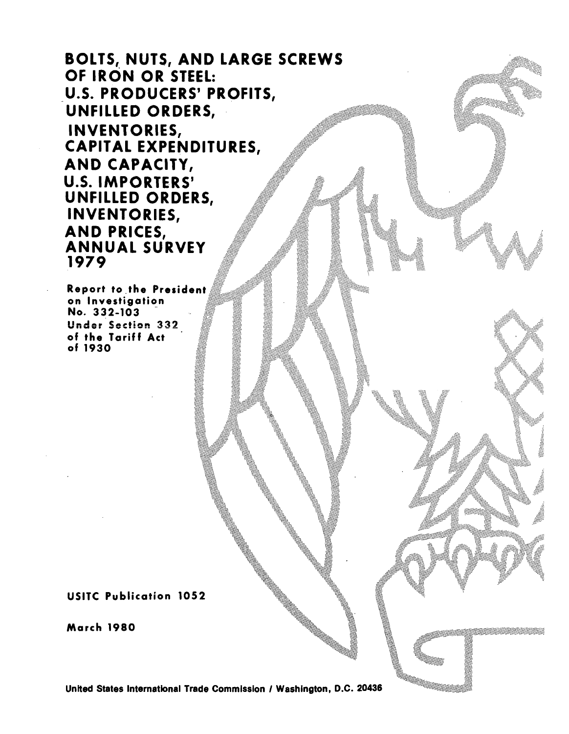BOLTS, NUTS, AND LARGE SCREWS OF IRON OR STEEL: U.S. PRODUCERS' PROFITS, UNFILLED ORDERS, INVENTORIES, CAPITAL EXPENDITURES, AND CAPACITY, U.S. IMPORTERS' UNFILLED ORDERS, INVENTORIES, AND PRICES, ANNUAL SURVEY 1979

Report to \_the President on Investigation · No. 332-103 Under Section 332 of the Tariff Act of 1930

USITC Publication 1052

March 1980

United States International Trade Commission / Washington, D.C. 20436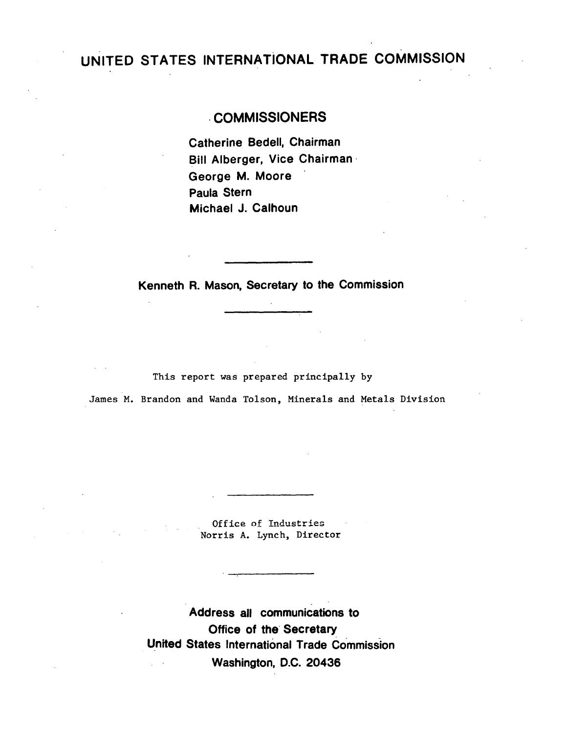## UNITED STATES INTERNATiONAL TRADE COMMISSION

. .

## . COMMISSIONERS

Catherine Bedell, Chairman Bill Alberger, Vice Chairman - George M. Moore Paula Stern Michael J. Calhoun

Kenneth R. Mason, Secretary to the Commission

This report was prepared principally by

James M. Brandon and Wanda Tolson, Minerals and Metals Division

Office of Industries Norris A. Lynch, Director

Address all communications to Office of the Secretary United States International Trade Commission Washington, D.C. 20436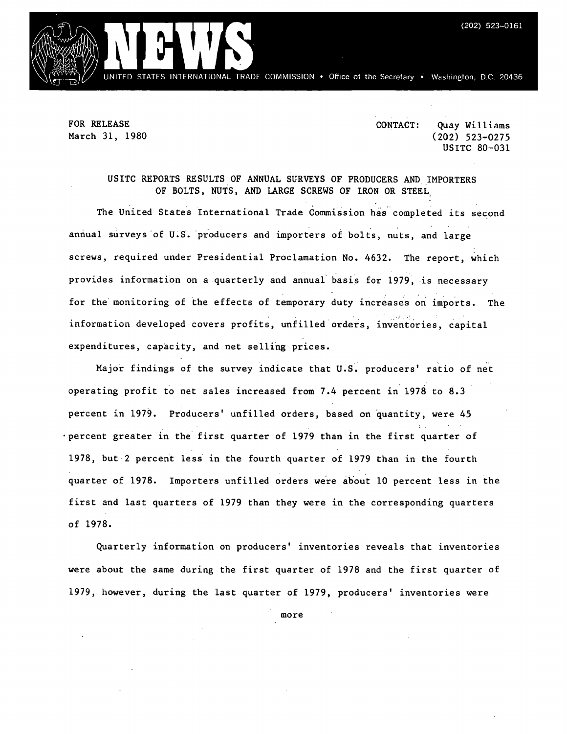

FOR RELEASE March 31, 1980 CONTACT: Quay Williams  $(202)$  523-0275 USITC 80-031

#### USITC REPORTS RESULTS OF ANNUAL SURVEYS OF PRODUCERS AND.IMPORTERS OF BOLTS, NUTS, AND LARGE SCREWS OF IRON OR STEEL,

The United States International Trade Commission has· completed its second annual surveys of U.S. producers and importers of bolts, nuts, and large screws, required under Presidential Proclamation No. 4632. The report, which provides information on a quarterly and annual basis for 1979, is necessary for the monitoring of the effects of temporary duty increases on imports. The information developed covers profits, unfilled orders, inventories, capital expenditures, capacity, and net selling prices.

Major findings of the survey indicate that U.S. producers' ratio of net operating profit to net sales increased from 7.4 percent in 1978 to 8.3 percent in 1979. Producers' unfilled orders, based on quantity, were 45 ·percent greater in the first quarter of 1979 than in the first quarter of 1978, but 2 percent less in the fourth quarter of 1979 than in the fourth quarter of 1978. Importers unfilled orders were about 10 percent less in the first and last quarters of 1979 than they were in the corresponding quarters of 1978.

Quarterly information on producers' inventories reveals that inventories were about the same during the first quarter of 1978 and the first quarter of 1979, however, during the last quarter of 1979, producers' inventories were

more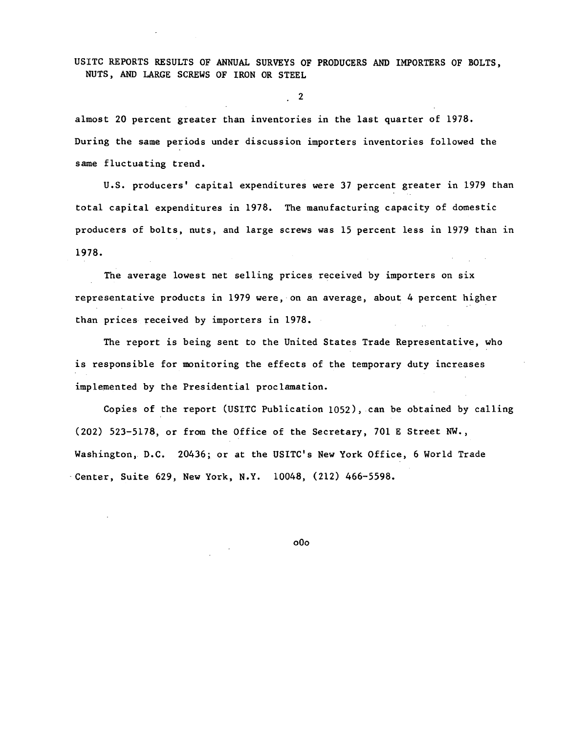USITC REPORTS RESULTS OF ANNUAL SURVEYS OF PRODUCERS AND IMPORTERS OF BOLTS, NUTS, AND LARGE SCREWS OF IRON OR STEEL

2

almost 20 percent greater than inventories in the last quarter of 1978. During the same periods under discussion importers inventories followed the same fluctuating trend.

U.S. producers' capital expenditures were 37 percent greater in 1979 than total capital expenditures in 1978. The manufacturing capacity of domestic producers of bolts, nuts, and large screws was 15 percent less in 1979 than 1n 1978.

The average lowest net selling prices received by importers on six representative products in 1979 were, on an average, about 4 percent higher than prices received by importers in 1978.

The report is being sent to the United States Trade Representative, who is responsible for monitoring the effects of the temporary duty increases implemented by the Presidential proclamation.

Copies of the report (USITC Publication 1052), can be obtained by calling (202) 523-5178, or from the Office of the Secretary, 701 E Street NW., Washington, D.C. 20436; or at the USITC's New York Office, 6 World Trade -Center, Suite 629, New York, N.Y. 10048, (212) 466-5598.

oOo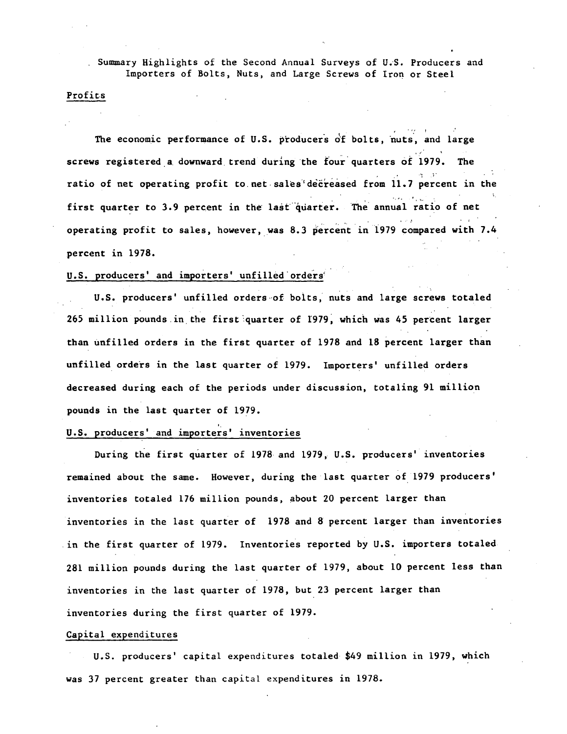Summary Highlights of the Second Annual Surveys of U.S. Producers and Importers of Bolts, Nuts, and Large Screws of Iron or Steel

#### Profits

The economic performance of U.S. producers of bolts, nuts, and large screws registered a downward trend during the four quarters of 1979. The ratio of net operating profit to net sales decreased from 11.7 percent in the first quarter to 3.9 percent in the last quarter. The annual ratio of net operating profit to sales, however, was 8.3 percent in 1979 compared with 7.4 percent in 1978.

#### U.S. producers' and importers' unfilled orders'

U.S. producers' unfilled orders of bolts, nuts and large screws totaled 265 million pounds in the first quarter of 1979, which was 45 percent larger than unfilled orders in the first quarter of 1978 and 18 percent larger than unfilled orders in the last quarter of 1979. Importers' unfilled orders decreased during each of the periods under discussion, totaling 91 million pounds in the last quarter of 1979.

#### U.S. producers' and importers' inventories

During the first quarter of 1978 and 1979, U.S. producers' inventories remained about the same. However, during the last quarter of 1979 producers' inventories totaled 176 million pounds, about 20 percent larger than inventories in the last quarter of 1978 and 8 percent larger than inventories in the first quarter of 1979. Inventories reported by U.S. importers totaled 281 million pounds during the last quarter of 1979, about 10 percent less than inventories in the last quarter of 1978, but 23 percent larger than inventories during the first quarter of 1979.

#### Capital expenditures

U.S. producers' capital expenditures totaled \$49 million in 1979, which was 37 percent greater than capital expenditures in 1978.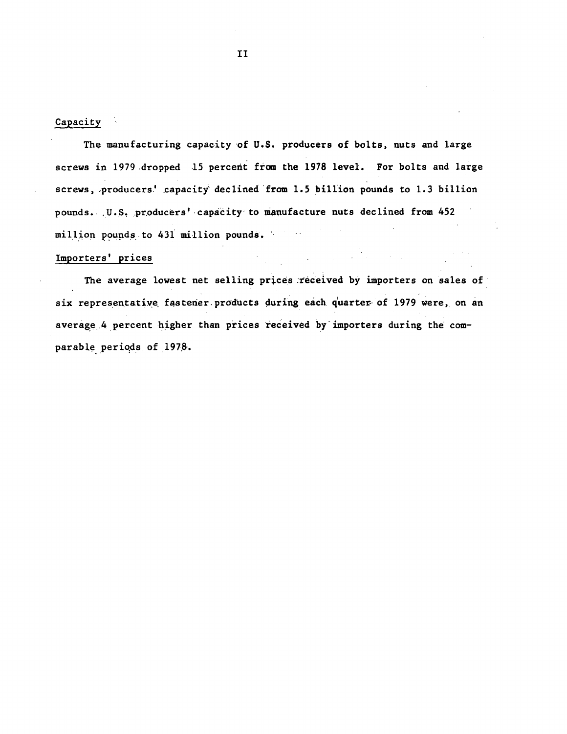## Capacity

The manufacturing capacity of U.S. producers of bolts, nuts and large screws in 1979 dropped 15 percent from the 1978 level. For bolts and large screws, producers' capacity declined from 1.5 billion pounds to 1.3 billion pounds. U.S. producers' capacity to manufacture nuts declined from 452 million pounds to 431 million pounds.  $\sim$   $\sim$ 

## Importers' prices

The average lowest net selling prices received by importers on sales of six representative fastener products during each quarter of 1979 were, on an average 4 percent higher than prices received by importers during the comparable periods of 1978.

 $\mathcal{L}^{\text{max}}_{\text{max}}$  , where  $\mathcal{L}^{\text{max}}_{\text{max}}$ 

 $II$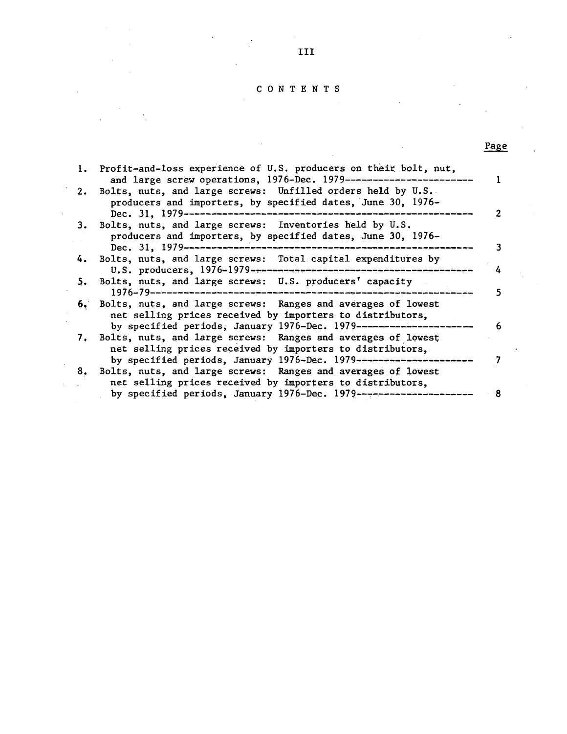#### C 0 N T E N T S

| 1. Profit-and-loss experience of U.S. producers on their bolt, nut,<br>and large screw operations, 1976-Dec. 1979------------------------                                                         |
|---------------------------------------------------------------------------------------------------------------------------------------------------------------------------------------------------|
| 2. Bolts, nuts, and large screws: Unfilled orders held by U.S.<br>producers and importers, by specified dates, June 30, 1976-                                                                     |
| 3. Bolts, nuts, and large screws: Inventories held by U.S.<br>producers and importers, by specified dates, June 30, 1976-                                                                         |
| 4. Bolts, nuts, and large screws: Total capital expenditures by<br>4                                                                                                                              |
| 5. Bolts, nuts, and large screws: U.S. producers' capacity                                                                                                                                        |
| 6. Bolts, nuts, and large screws: Ranges and averages of lowest<br>net selling prices received by importers to distributors.<br>by specified periods, January 1976-Dec. 1979-------------------   |
| 7. Bolts, nuts, and large screws: Ranges and averages of lowest<br>net selling prices received by importers to distributors,                                                                      |
| by specified periods, January 1976-Dec. 1979---------------------<br>8. Bolts, nuts, and large screws: Ranges and averages of lowest<br>net selling prices received by importers to distributors, |
| by specified periods, January 1976-Dec. 1979----------------------<br>8                                                                                                                           |

Page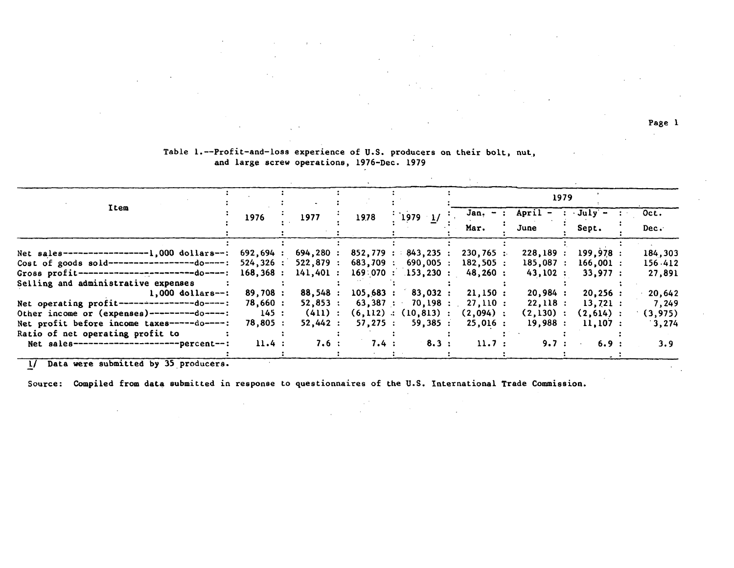Page l

 $\sim$ 

|                                                                               | 1979     |  |            |  |           |  |                            |  |             |                    |             |  |          |
|-------------------------------------------------------------------------------|----------|--|------------|--|-----------|--|----------------------------|--|-------------|--------------------|-------------|--|----------|
| Item                                                                          | 1976     |  | 1977       |  | 1978      |  | $^{11979}$ 1/              |  | $Jan. - :$  | $April - : July -$ |             |  | Oct.     |
|                                                                               |          |  |            |  |           |  |                            |  | Mar.        | June               | Sept.       |  | Dec.     |
| Net sales------------------1,000 dollars--: 692,694 :                         |          |  | 694,280 :  |  |           |  | 852,779 : 843,235 :        |  | $230,765$ : | 228,189:           | 199,978:    |  | 184,303  |
| Cost of goods sold-------------------do----:                                  | 524,326: |  | 522,879:   |  | 683,709 : |  | $690,005$ :                |  | 182,505:    | 185.087:           | $166,001$ : |  | 156.412  |
| Gross profit-------------------------do----:                                  | 168,368: |  | 141,401:   |  |           |  | 169:070:153,230:           |  | $48,260$ :  | 43,102:            | 33.977:     |  | 27,891   |
| Selling and administrative expenses<br>$1.000$ dollars--:                     | 89,708:  |  | 88,548:    |  | 105,683:  |  | 83,032:                    |  | 21,150:     | 20,984:            | 20,256:     |  | 20,642   |
| Net operating $profit$ ---------------do----:                                 | 78,660:  |  | $52,853$ : |  |           |  | 63,387 : 70,198 :          |  | 27.110:     | 22,118:            | 13,721:     |  | 7,249    |
| Other income or (expenses)---------do----:                                    | 145:     |  | (411):     |  |           |  | $(6, 112)$ : $(10, 813)$ : |  | $(2.094)$ : | (2,130):           | $(2,614)$ : |  | (3, 975) |
| Net profit before income taxes-----do----:                                    | 78,805:  |  | 52,442:    |  | 57,275:   |  | 59,385:                    |  | 25,016:     | 19,988:            | 11.107:     |  | 3,274    |
| Ratio of net operating profit to<br>Net sales----------------------percent--: | 11.4:    |  | 7.6:       |  | 7.4 :     |  | 8.3:                       |  | 11.7:       | 9.7:               | 6.9:        |  | 3.9      |
|                                                                               |          |  |            |  |           |  |                            |  |             |                    |             |  |          |

#### Table 1.--Profit-and-loss experience of U.S. producers on their bolt, nut, and large screw operations, 1976-Dec. 1979

 $\alpha$ 

 $\sim$  4.

 $\mathcal{L}^{\mathcal{L}}$ 

!/ Data were submitted by 35\_producers.

Source: Compiled from data submitted in response to questionnaires of the U.S. International Trade Commission.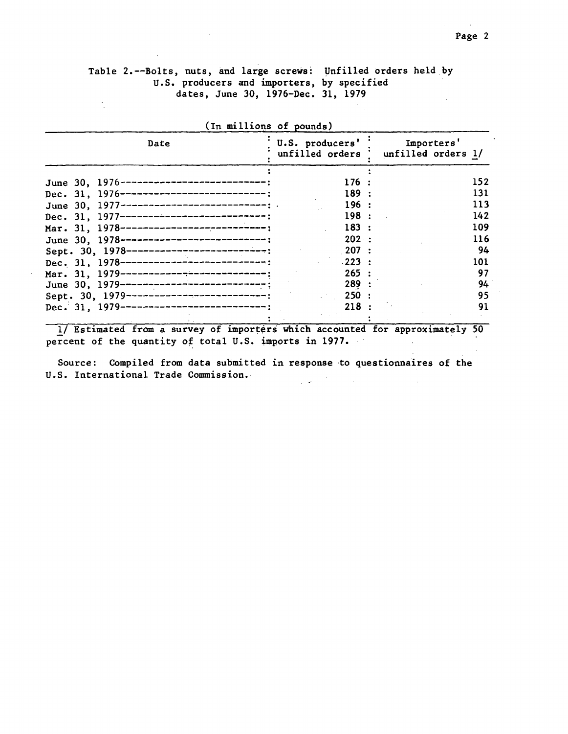#### Table 2.--Bolts, nuts, and large screws: Unfilled orders held by U.S. producers and importers, by specified dates, June 30, 1976-Dec. 31, 1979  $\ddot{\cdot}$

| Date                                         | U.S. producers' | Importers'<br>unfilled orders ' unfilled orders 1/ |
|----------------------------------------------|-----------------|----------------------------------------------------|
| June 30, 1976-----------------------------   | 176:            | 152                                                |
|                                              |                 |                                                    |
| Dec. 31, 1976-----------------------------;  | 189 :           | 131                                                |
| June 30, 1977-----------------------------;  | 196:            | 113                                                |
| Dec. 31, 1977-----------------------------   | 198:            | 142                                                |
| Mar. 31, 1978------------------------------  | 183 :           | 109                                                |
| June 30, 1978-----------------------------;  | 202:            | 116                                                |
| Sept. 30, 1978----------------------------;  | 207 :           | 94                                                 |
| Dec. 31, 1978-----------------------------   | $-223$ :        | 101                                                |
| Mar. 31, 1979------------------------------  | 265:            | 97                                                 |
| June 30, 1979---------------------------;    | 289:            | 94                                                 |
| Sept. 30, 1979-----------------------------: | 250 :           | 95                                                 |
| Dec. 31, 1979-----------------------------   | 218:            | 91                                                 |

 $\frac{1}{2}$  Estimated from a survey of importers which accounted for approximately 50<br>extent of the quantity of total U.S. imports in 1977. percent of the quantity of total U.S. imports in 1977.

Source: Compiled from data submitted in response to questionnaires of the U.S. International Trade Commission.  $\mathcal{L}^{\text{max}}$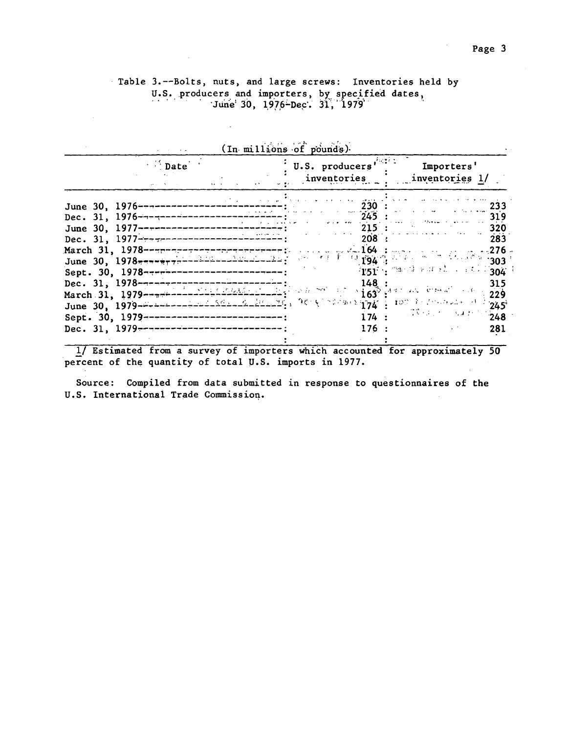$\sigma_{\rm{eff}}$ 

## Table 3.--Bolts, nuts, and large screws: Inventories held by U.S. producers and importers, by specified dates,<br>June 30, 1976-Dec. 31, 1979

 $\sim 10^7$ 

 $\sim$ 

| $\sim$ Date                                                                                                                                                                                               | U.S. producers <sup>rout</sup><br>inventories | Importers'<br>inventories 1/                                                          |
|-----------------------------------------------------------------------------------------------------------------------------------------------------------------------------------------------------------|-----------------------------------------------|---------------------------------------------------------------------------------------|
| June 30, 1976-----------------<br>June 30, 1977---------------------------<br>Dec. 31, 1977---------------------------------<br>March 31, 1978-experience-concerned-energy will be specified and the pro- | 230<br>$215$ :<br>208                         | 233<br>319<br>320<br>283<br>. 276 .                                                   |
| Sept. 30, 1978----------------------------                                                                                                                                                                |                                               | $\sqrt{151} + \sqrt{36}$ and $\sqrt{36} + 1$ and $\sqrt{36} + 1$<br>315<br>229<br>245 |
| Sept. 30, 1979--------------------------<br>Dec. 31, 1979---------------------------                                                                                                                      | 176:                                          | $174:$ $174:$<br>281                                                                  |

 $\mathcal{L} = \left\{ \begin{array}{ll} \mathcal{L} & \mathcal{L} \mathcal{L} \\ \mathcal{L} & \mathcal{L} \end{array} \right.$ 

!/ Estimated from a survey of importers which accounted for approximately 50 percent of the quantity of total U.S. imports in 1977.

Source: Compiled from data submitted in response to questionnaires of the U.S. International Trade Commissioq.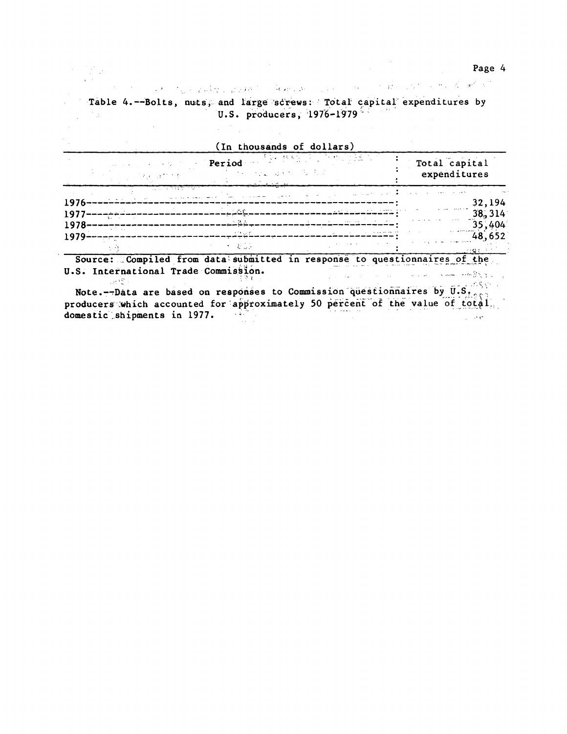ಿ ಸಿಲ್ಲಿ ನಿರ್ಧಾರ ಮಾಡಿದ್ದರು. ಮಾಡಿಕೊಳ್ಳಿ ಬಂದಿ ಮಾಡಿಕೊಳ್ಳುವುದು ಬಂದಿದ್ದಾರೆ. ಈ ಬಂದಿದೆ ಹೇಳಿದ್ದಾರೆ. ಅವರು ಮೇಲೆಕ್ ನಾಗಿ ಸ Table 4.--Bolts, nuts, and large screws: Total capital expenditures by U.S. producers, 1976-1979  $\mathcal{F}_{\mathcal{M}}$  .

 $\label{eq:2} \mathcal{A} = \frac{1}{2} \sum_{i=1}^n \mathcal{A}_i \mathcal{A}_i$ 

 $\sim 10^{-10}$ 

 $\mathcal{L}_{\mathcal{A}}$ 

|         | and the second control of the state            | (In thousands of dollars)<br>Period<br>医异形 医脑室 医细胞增长 医静脉囊 经 | 建选款 机用力 人名德尔 化二氯化氢基                                         | Total capital<br>expenditures                          |
|---------|------------------------------------------------|-------------------------------------------------------------|-------------------------------------------------------------|--------------------------------------------------------|
|         | प्∏ाक प्राचारिया क<br>المتعقب الحاملة الماليين | contract and the<br>case of the contract of the             | the company of the company of the company of the            |                                                        |
| $1976-$ | $1977$ ---------                               | سينات شيمية                                                 | and the first state of the state                            | 32,194<br>38,314                                       |
| 1978-   | a Alban                                        | $\sim 2.2$                                                  | address of the State<br>the committee of the season and the | <b>Contract Contract</b><br>35,404<br>and a resources. |
| 1979    |                                                | in thuy bi<br>トー おじふ                                        | .                                                           | 48,652                                                 |

Source: Compiled from data submitted in response to questionnaires of the U.S. International Trade Commission.  $\label{eq:2.1} \frac{1}{2} \left( \left\langle \hat{a} \right\rangle \right) \left( \hat{a} \hat{\mathbf{w}} \right) = \left\langle \hat{a} \right\rangle \left( \hat{a} \right) \left( \hat{a} \right) = \left\langle \hat{a} \right\rangle \left( \hat{a} \right)$ والالواق والأمعام السماء الاستعادات  $\sim 10^{12}$  .

Note.--Data are based on responses to Commission questionnaires by  $\overline{u}.s$ . producers which accounted for approximately 50 percent of the value of total. domestic shipments in 1977.  $\sim 4$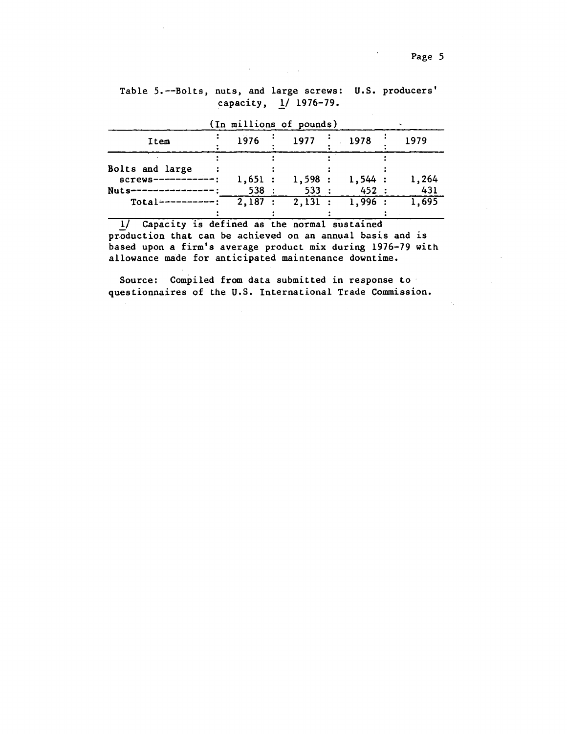| (In millions of pounds) |        |  |                   |  |        |  |       |
|-------------------------|--------|--|-------------------|--|--------|--|-------|
| Item                    | 1976   |  | 1977              |  | 1978   |  | 1979  |
|                         |        |  |                   |  |        |  |       |
| <b>Bolts and large</b>  |        |  |                   |  |        |  |       |
| $screws---------$       | 1,651: |  | 1,598:            |  | 1,544: |  | 1,264 |
| Nuts------              | 538:   |  | 533:              |  | 452 :  |  | 431   |
| $Total-----$            | 2,187: |  | $2,131$ : 1,996 : |  |        |  | 1,695 |
|                         |        |  |                   |  |        |  |       |

## Table 5.--Bolts, nuts, and large screws: U.S. producers' capacity, *l/* 1976-79.

1/ Capacity is defined as the normal sustained production that can be achieved on an annual basis and is based upon a firm's average product mix during 1976-79 with allowance made for anticipated maintenance downtime.

Source: Compiled from data submitted in response to questionnaires of the U.S. International Trade Commission.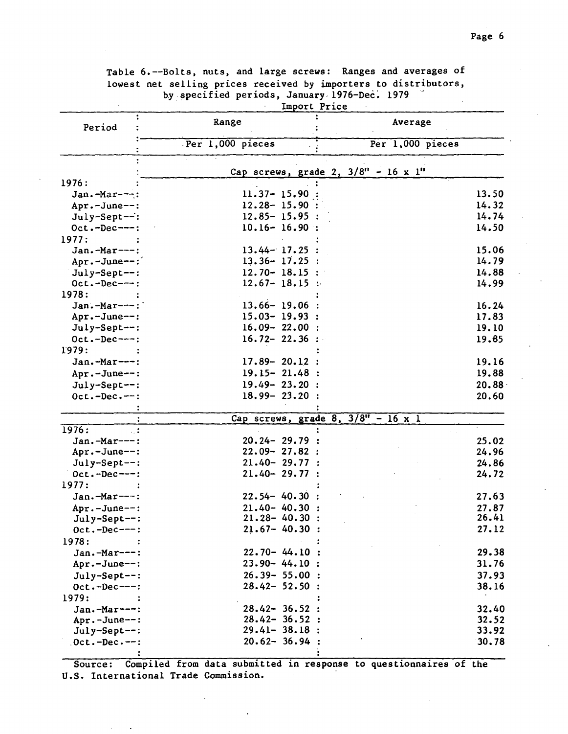|                 |                   | Import Price |                                                     |       |
|-----------------|-------------------|--------------|-----------------------------------------------------|-------|
| Period          | Range             |              | Average                                             |       |
|                 | Per 1,000 pieces  |              | Per 1,000 pieces                                    |       |
|                 |                   |              | Cap screws, grade 2, $3/8" - 16 \times 1"$          |       |
| 1976:           |                   |              |                                                     |       |
| $Jan.-Mar--:$   | $11.37 - 15.90$   |              |                                                     | 13.50 |
| Apr.-June--:    | $12.28 - 15.90:$  |              |                                                     | 14.32 |
| July-Sept--:    | $12.85 - 15.95$ : |              |                                                     | 14.74 |
| $Oct.-Dec---:$  | $10.16 - 16.90$ : |              |                                                     | 14.50 |
| 1977:           |                   |              |                                                     |       |
| Jan.-Mar---:    | $13.44 - 17.25$ : |              |                                                     | 15.06 |
| Apr.-June--:    | $13.36 - 17.25$ : |              |                                                     | 14.79 |
| July-Sept--:    | $12.70 - 18.15$ : |              |                                                     | 14.88 |
| $Oct.-Dec---:$  | $12.67 - 18.15$ : |              |                                                     | 14.99 |
| 1978:           |                   |              |                                                     |       |
| Jan.-Mar---:    | $13.66 - 19.06$   |              |                                                     | 16.24 |
| Apr.-June --:   | $15.03 - 19.93$ : |              |                                                     | 17.83 |
| July-Sept --:   | $16.09 - 22.00$ : |              |                                                     | 19.10 |
| $Oct.-Dec---:$  | $16.72 - 22.36$ : |              |                                                     | 19.85 |
| 1979:           |                   |              |                                                     |       |
| Jan.-Mar---:    | $17.89 - 20.12$ : |              |                                                     | 19.16 |
| Apr.-June --:   | $19.15 - 21.48$ : |              |                                                     | 19.88 |
| July-Sept--:    | $19.49 - 23.20$ : |              |                                                     | 20.88 |
| $Oct.-Dec. --:$ | $18.99 - 23.20$ : |              |                                                     | 20.60 |
|                 |                   |              |                                                     |       |
|                 |                   |              | Cap screws, grade $8$ , $3/8$ <sup>"</sup> - 16 x 1 |       |
| 1976:           |                   |              |                                                     |       |
| Jan.-Mar---:    | $20.24 - 29.79$ : |              |                                                     | 25.02 |
| Apr.-June--:    | $22.09 - 27.82$ : |              |                                                     | 24.96 |
| July-Sept--:    | $21.40 - 29.77$ : |              |                                                     | 24.86 |
| $Oct.-Dec--:$   | $21.40 - 29.77$ : |              |                                                     | 24.72 |
| 1977:           |                   |              |                                                     |       |
| Jan.-Mar---:    | $22.54 - 40.30$ : |              |                                                     | 27.63 |
| Apr.-June--:    | $21.40 - 40.30$ : |              |                                                     | 27.87 |
| July-Sept--:    | $21.28 - 40.30$ : |              |                                                     | 26.41 |
| $Oct.-Dec---:$  | $21.67 - 40.30$ : |              |                                                     | 27.12 |
| 1978:           |                   |              |                                                     |       |
| Jan.-Mar---:    | $22.70 - 44.10$ : |              |                                                     | 29.38 |
| Apr.-June--:    | $23.90 - 44.10$ : |              |                                                     | 31.76 |
| July-Sept--:    | $26.39 - 55.00$ : |              |                                                     | 37.93 |
| $Oct.-Dec---:$  | $28.42 - 52.50$ : |              |                                                     | 38.16 |
| 1979:           |                   |              |                                                     |       |
| Jan.-Mar ---:   | $28.42 - 36.52$ : |              |                                                     | 32.40 |
| Apr.-June--:    | $28.42 - 36.52$ : |              |                                                     | 32.52 |
| July-Sept--:    | $29.41 - 38.18$ : |              |                                                     | 33.92 |
| $0ct.-Dec--:$   | $20.62 - 36.94$ : |              |                                                     | 30.78 |
|                 |                   |              |                                                     |       |

Table 6.--Bolts, nuts, and large screws: Ranges and averages of lowest net selling prices received by importers to distributors, by specified periods, January 1976-Dec. 1979

Source: Compiled from data submitted in response to questionnaires of the U.S. International Trade Commission.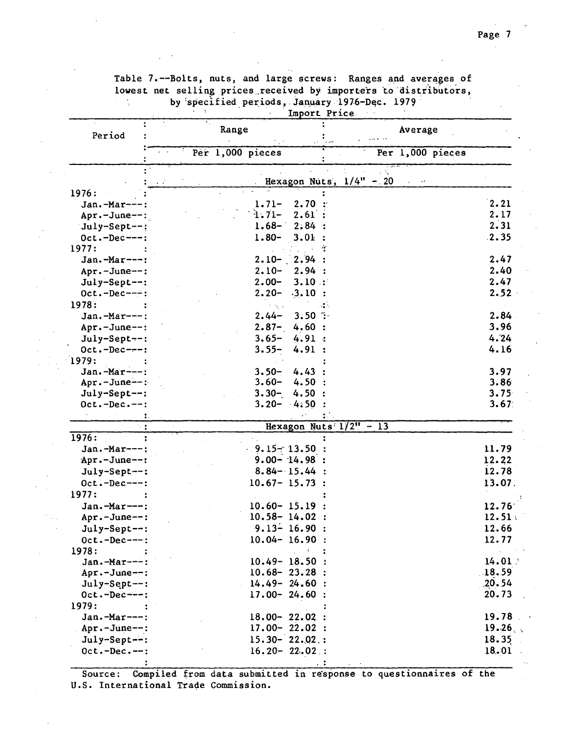|                 |                      | Import Price              |
|-----------------|----------------------|---------------------------|
| Period          | Range                | Average                   |
|                 | Per 1,000 pieces     | Per 1,000 pieces          |
|                 |                      |                           |
|                 | $\ddotsc$            | Hexagon Nuts, $1/4" - 20$ |
| 1976:           |                      |                           |
| Jan.-Mar---     | 2.70<br>$1.71-$      | 2.21                      |
| Apr.-June--:    | $1.71-$<br>2.61:     | 2.17                      |
| July-Sept--:    | $1.68 -$<br>2.84:    | 2.31                      |
| $Oct.-Dec---:$  | $1.80 -$<br>3.01     | .2.35                     |
| 1977:           |                      |                           |
| Jan.-Mar---:    | 2,94:<br>$2.10 -$    | 2.47                      |
| Apr.-June--:    | $2.10-$<br>2.94:     | 2.40                      |
| July-Sept--:    | $2.00 -$<br>3.10:    | 2.47                      |
| $Oct.-Dec---:$  | $2.20 -$<br>$-3.10:$ | 2.52                      |
| 1978:           | ti ta sa             | ИÅ.                       |
| Jan.-Mar---:    | $3.50$ :<br>$2.44-$  | 2.84                      |
| Apr.-June --:   | $2.87 -$<br>4.60 :   | 3.96                      |
| $July-Sept--:$  | $3.65 -$<br>4.91:    | 4.24                      |
| $Oct.-Dec--:$   | $3.55 -$<br>4.91:    | 4.16                      |
| 1979:           |                      |                           |
| Jan.-Mar ---:   | $3.50 -$<br>4.43     | 3.97                      |
| Apr.-June --:   | $3.60 -$<br>4.50     | 3.86                      |
| July-Sept--:    | $3.30 -$<br>4.50     | 3.75                      |
| $Oct.-Dec.--:$  | $3.20 - 4.50$        | 3.67                      |
| ι.              |                      |                           |
|                 |                      | Hexagon Nuts $1/2" - 13$  |
| 1976:           |                      |                           |
| Jan.-Mar---:    | $9.15 - 13.50$       | 11.79                     |
| Apr.-June--:    | $9.00 - 14.98$ :     | 12.22                     |
| July-Sept--:    | $8.84 - 15.44$ :     | 12.78                     |
| $Oct.-Dec---:$  | $10.67 - 15.73$ :    | 13.07.                    |
| 1977:           |                      |                           |
| Jan.-Mar---:    | $10.60 - 15.19$      | 12.76                     |
| Apr.-June--:    | $10.58 - 14.02$ :    | 12.51:                    |
| July-Sept--:    | $9.13 - 16.90$ :     | 12.66                     |
| $0ct.-Dec---:$  | $10.04 - 16.90$ :    | 12.77                     |
| 1978:           | $4\%$                |                           |
| Jan.-Mar---:    | $10.49 - 18.50$ :    | 14.01                     |
| Apr.-June--:    | $10.68 - 23.28$ :    | .18.59                    |
| July-Sept --:   | $14.49 - 24.60$ :    | .20.54                    |
| $0ct.-Dec--:$   | $17.00 - 24.60$ :    | 20.73                     |
| 1979:           |                      |                           |
| Jan.-Mar---:    | $18.00 - 22.02$ :    | 19.78                     |
| Apr.-June--:    | $17.00 - 22.02$ :    | 19.26                     |
| July-Sept --:   | $15.30 - 22.02$ :    | 18.35                     |
| $0ct.-Dec. --:$ | $16.20 - 22.02$ :    | 18.01                     |
|                 |                      | $\cdot$ . :               |
|                 |                      |                           |

Table 7.--Bolts, nuts, and large screws: Ranges and averages of lowest net selling prices received by importers to distributors, by specified periods, January 1976-Dec. 1979.  $\mathcal{L}_{\mathcal{L}}$ 

Source: Compiled from data submitted in response to questionnaires of the U.S. International Trade Commission.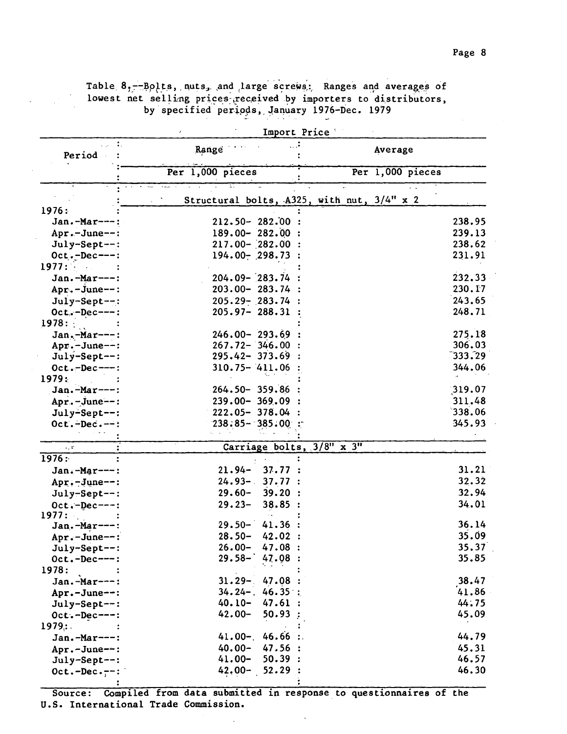Table 8,--Bolts, nuts, and large screws: Ranges and averages of lowest net selling prices received by importers to distributors, by specified periods, January 1976-Dec. 1979

|                 |                       | Import Price |                                            |        |
|-----------------|-----------------------|--------------|--------------------------------------------|--------|
| Period          | Range                 |              | Average                                    |        |
|                 | Per 1,000 pieces      |              | Per $1,000$ pieces                         |        |
|                 |                       |              |                                            |        |
|                 |                       |              | Structural bolts, A325, with nut, 3/4" x 2 |        |
| 1976:           |                       |              |                                            |        |
| Jan.-Mar---:    | $212.50 - 282.00$     |              |                                            | 238.95 |
| Apr.-June--:    | $189.00 - 282.00$ :   |              |                                            | 239.13 |
| July-Sept--:    | $217.00 - 282.00$ :   |              |                                            | 238.62 |
| $Oct.-Dec---:$  | $194.00 - 298.73$ :   |              |                                            | 231.91 |
| 1977:           |                       |              |                                            |        |
| Jan.-Mar---:    | $204.09 - 283.74$     |              |                                            | 232.33 |
| Apr.-June--:    | $203.00 - 283.74$     |              |                                            | 230.17 |
| July-Sept--:    | $205.29 - 283.74$     |              |                                            | 243.65 |
| $Oct.-Dec---:$  | $205.97 - 288.31$     |              |                                            | 248.71 |
| 1978:           |                       |              |                                            |        |
| Jan.-Mar---:    | $246.00 - 293.69$     |              |                                            | 275.18 |
| Apr.-June--:    | $267.72 - 346.00$     |              |                                            | 306.03 |
| July-Sept--:    | $295.42 - 373.69$     |              |                                            | 333.29 |
| $Oct.-Dec---:$  | $310.75 - 411.06$     |              |                                            | 344.06 |
| 1979:           |                       |              |                                            |        |
| $Jan.-Mar---:$  | $264.50 - 359.86$     |              |                                            | 319.07 |
| $Apr.-June--:$  | $239.00 - 369.09$     |              |                                            | 311.48 |
| July-Sept--:    | $222.05 - 378.04$     |              |                                            | 338.06 |
| $Oct.-Dec. --:$ | $238:85 - 385.00$ :   |              |                                            | 345.93 |
|                 |                       |              |                                            |        |
| $\epsilon$ , T  | Carriage bolts, 3/8"  |              | $\overline{x}$ $\overline{3''}$            |        |
| 1976:           |                       |              |                                            |        |
| Jan.-Mar---:    | 37.77<br>$21.94 -$    |              |                                            | 31.21  |
| $Apr.-June--:$  | $24.93 - 37.77$ :     |              |                                            | 32.32  |
| July-Sept--:    | $29.60 -$<br>39.20:   |              |                                            | 32.94  |
| $Oct.-Dec---:$  | $29.23 -$<br>38.85:   |              |                                            | 34.01  |
| 1977:           |                       |              |                                            |        |
| Jan.-Mar---:    | $29.50 -$<br>41.36:   |              |                                            | 36.14  |
| Apr.-June--:    | $28.50 -$<br>42.02:   |              |                                            | 35.09  |
| July-Sept--:    | $26.00 -$<br>47.08:   |              |                                            | 35.37  |
| $0ct.-Dec---:$  | $29.58 -$<br>47.08:   |              |                                            | 35.85  |
| 1978:           |                       |              |                                            |        |
| Jan.-Mar---:    | $31.29 -$<br>47.08:   |              |                                            | 38.47  |
| Apr.-June--:    | $34.24 - 46.35$ :     |              |                                            | 41.86  |
| July-Sept--:    | $40.10 -$<br>47.61:   |              |                                            | 44.75  |
| $Oct.-Dec---:$  | $42.00 -$<br>50.93    |              |                                            | 45.09  |
| 1979:           |                       |              |                                            |        |
| Jan.-Mar---:    | 46.66:<br>$41.00 -$ . |              |                                            | 44.79  |
| Apr.-June--:    | 47.56 :<br>$40.00 -$  |              |                                            | 45.31  |
| July-Sept--:    | $41.00 -$<br>50.39:   |              |                                            | 46.57  |
| $Oct.-Dec.--:$  | 52.29:<br>$42,00 -$   |              |                                            | 46.30  |
|                 |                       |              |                                            |        |

Source: Compiled from data submitted in response to questionnaires of the U.S. International Trade Commission.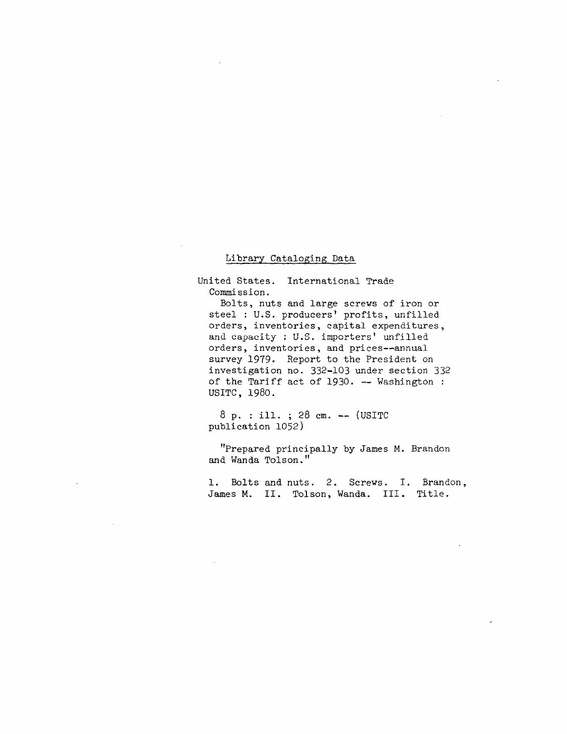#### Library Cataloging Data

United States. International Trade Commission.

Bolts, nuts and large screws of iron or steel : U.S. producers' profits, unfilled orders, inventories, capital expenditures, **and capacity : U.S. importers' unfilled**  orders, inventories, and prices--annual survey 1979. Report to the President on investigation no. 332-103 under section 332 of the Tariff act of 1930. -- Washington : USITC, 1980.

8 p. : ill. ; 28 cm. -- (USITC publication 1052)

"Prepared principally by James M. Brandon and Wanda Tolson."

1. Bolts and nuts. 2. Screws. I. Brandon, James M. II. Tolson, Wanda. III. Title.